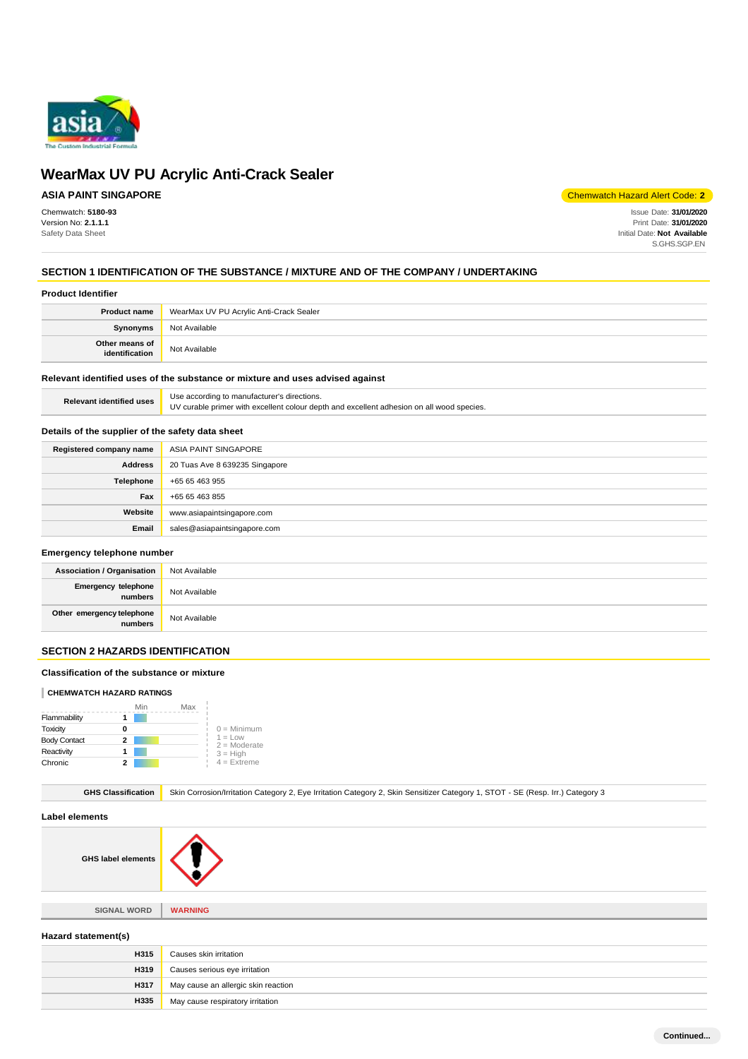

# **ASIA PAINT SINGAPORE**

Chemwatch: **5180-93** Version No: **2.1.1.1** Safety Data Sheet

Chemwatch Hazard Alert Code: **2**

Issue Date: **31/01/2020** Print Date: **31/01/2020** Initial Date: **Not Available** S.GHS.SGP.EN

# **SECTION 1 IDENTIFICATION OF THE SUBSTANCE / MIXTURE AND OF THE COMPANY / UNDERTAKING**

#### **Product Identifier**

| <b>Product name</b>              | WearMax UV PU Acrylic Anti-Crack Sealer |
|----------------------------------|-----------------------------------------|
| <b>Synonyms</b>                  | Not Available                           |
| Other means of<br>identification | Not Available                           |

# **Relevant identified uses of the substance or mixture and uses advised against**

|                                 | Use according to manufacturer's directions.                                               |
|---------------------------------|-------------------------------------------------------------------------------------------|
| <b>Relevant identified uses</b> | UV curable primer with excellent colour depth and excellent adhesion on all wood species. |

#### **Details of the supplier of the safety data sheet**

| Registered company name | ASIA PAINT SINGAPORE           |
|-------------------------|--------------------------------|
| <b>Address</b>          | 20 Tuas Ave 8 639235 Singapore |
| Telephone               | +65 65 463 955                 |
| Fax                     | +65 65 463 855                 |
| Website                 | www.asiapaintsingapore.com     |
| Email                   | sales@asiapaintsingapore.com   |

#### **Emergency telephone number**

| <b>Association / Organisation</b>               | Not Available |
|-------------------------------------------------|---------------|
| Emergency telephone<br>numbers<br>Not Available |               |
| Other emergency telephone<br>numbers            | Not Available |

# **SECTION 2 HAZARDS IDENTIFICATION**

#### **Classification of the substance or mixture**

#### **CHEMWATCH HAZARD RATINGS**

|                     |   | Min | Max |                             |
|---------------------|---|-----|-----|-----------------------------|
| Flammability        |   |     |     |                             |
| Toxicity            | O |     |     | $0 =$ Minimum               |
| <b>Body Contact</b> | 2 |     |     | $1 = Low$<br>$2 =$ Moderate |
| Reactivity          |   |     |     | $3 = High$                  |
| Chronic             |   |     |     | $4 =$ Extreme               |

GHS Classification Skin Corrosion/Irritation Category 2, Eye Irritation Category 2, Skin Sensitizer Category 1, STOT - SE (Resp. Irr.) Category 3

# **Label elements**

**GHS label elements**



**SIGNAL WORD WARNING**

# **Hazard statement(s)**

| <b>H315</b> | Causes skin irritation                    |
|-------------|-------------------------------------------|
|             | <b>H319</b> Causes serious eye irritation |
| <b>H317</b> | May cause an allergic skin reaction       |
| H335        | May cause respiratory irritation          |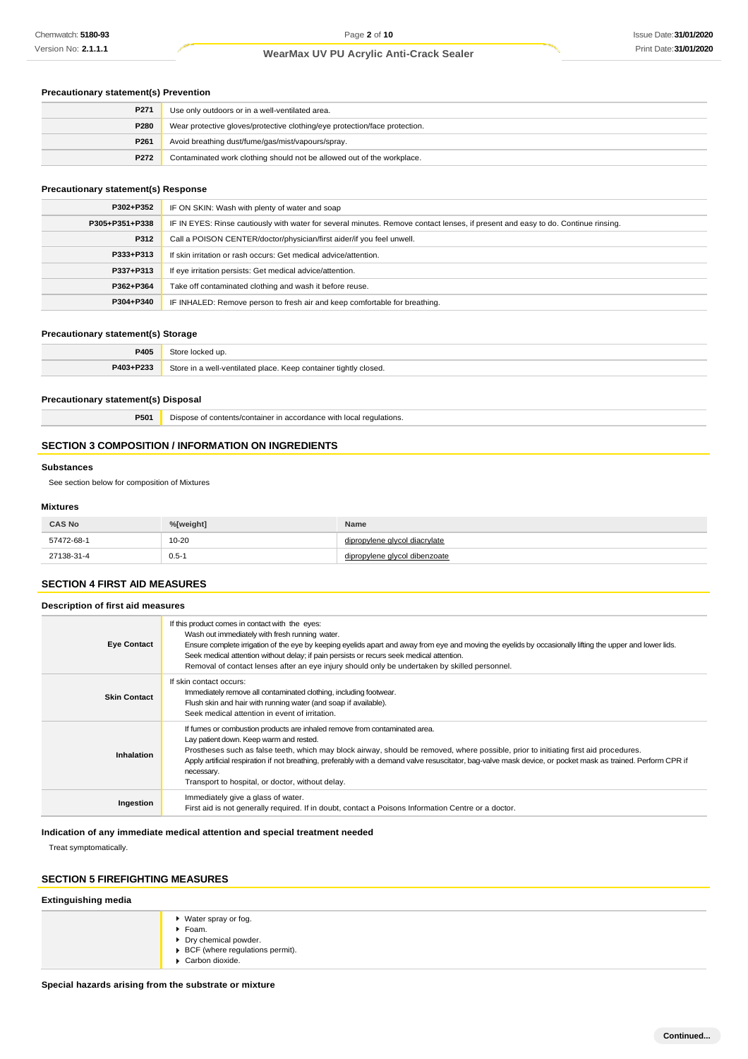# **Precautionary statement(s) Prevention**

| P271 | Use only outdoors or in a well-ventilated area.                            |
|------|----------------------------------------------------------------------------|
| P280 | Wear protective gloves/protective clothing/eye protection/face protection. |
| P261 | Avoid breathing dust/fume/gas/mist/vapours/spray.                          |
| P272 | Contaminated work clothing should not be allowed out of the workplace.     |

### **Precautionary statement(s) Response**

| P302+P352      | IF ON SKIN: Wash with plenty of water and soap                                                                                   |  |
|----------------|----------------------------------------------------------------------------------------------------------------------------------|--|
| P305+P351+P338 | IF IN EYES: Rinse cautiously with water for several minutes. Remove contact lenses, if present and easy to do. Continue rinsing. |  |
| P312           | Call a POISON CENTER/doctor/physician/first aider/if you feel unwell.                                                            |  |
| P333+P313      | If skin irritation or rash occurs: Get medical advice/attention.                                                                 |  |
| P337+P313      | If eye irritation persists: Get medical advice/attention.                                                                        |  |
| P362+P364      | Take off contaminated clothing and wash it before reuse.                                                                         |  |
| P304+P340      | IF INHALED: Remove person to fresh air and keep comfortable for breathing.                                                       |  |

### **Precautionary statement(s) Storage**

| P405                      |                                                                                           |
|---------------------------|-------------------------------------------------------------------------------------------|
| <b>DAO</b><br><b>DOOO</b> | $2$ tori<br>* tightly closed.<br>1110<br>-ventilated place.<br>container<br>Kee<br>.<br>. |

#### **Precautionary statement(s) Disposal**

**P501** Dispose of contents/container in accordance with local regulations.

### **SECTION 3 COMPOSITION / INFORMATION ON INGREDIENTS**

### **Substances**

See section below for composition of Mixtures

### **Mixtures**

| <b>CAS No</b> | %[weight] | Name                    |
|---------------|-----------|-------------------------|
| 57472-68-1    | $10 - 20$ | vlene alvcol diacrvlate |
| 27138-31-4    | $0.5 - 1$ | vlene alvcol dibenzoate |

# **SECTION 4 FIRST AID MEASURES**

**Description of first aid measures**

| <b>Eye Contact</b>  | If this product comes in contact with the eyes:<br>Wash out immediately with fresh running water.<br>Ensure complete irrigation of the eye by keeping eyelids apart and away from eye and moving the eyelids by occasionally lifting the upper and lower lids.<br>Seek medical attention without delay; if pain persists or recurs seek medical attention.<br>Removal of contact lenses after an eye injury should only be undertaken by skilled personnel.                                      |
|---------------------|--------------------------------------------------------------------------------------------------------------------------------------------------------------------------------------------------------------------------------------------------------------------------------------------------------------------------------------------------------------------------------------------------------------------------------------------------------------------------------------------------|
| <b>Skin Contact</b> | If skin contact occurs:<br>Immediately remove all contaminated clothing, including footwear.<br>Flush skin and hair with running water (and soap if available).<br>Seek medical attention in event of irritation.                                                                                                                                                                                                                                                                                |
| <b>Inhalation</b>   | If furnes or combustion products are inhaled remove from contaminated area.<br>Lay patient down. Keep warm and rested.<br>Prostheses such as false teeth, which may block airway, should be removed, where possible, prior to initiating first aid procedures.<br>Apply artificial respiration if not breathing, preferably with a demand valve resuscitator, bag-valve mask device, or pocket mask as trained. Perform CPR if<br>necessary.<br>Transport to hospital, or doctor, without delay. |
| Ingestion           | Immediately give a glass of water.<br>First aid is not generally required. If in doubt, contact a Poisons Information Centre or a doctor.                                                                                                                                                                                                                                                                                                                                                        |

# **Indication of any immediate medical attention and special treatment needed**

Treat symptomatically.

# **SECTION 5 FIREFIGHTING MEASURES**

# **Extinguishing media**

| ▶ Water spray or fog.<br>▶ Foam.<br>▶ Dry chemical powder.<br>▶ BCF (where regulations permit).<br>$\triangleright$ Carbon dioxide. |
|-------------------------------------------------------------------------------------------------------------------------------------|
|-------------------------------------------------------------------------------------------------------------------------------------|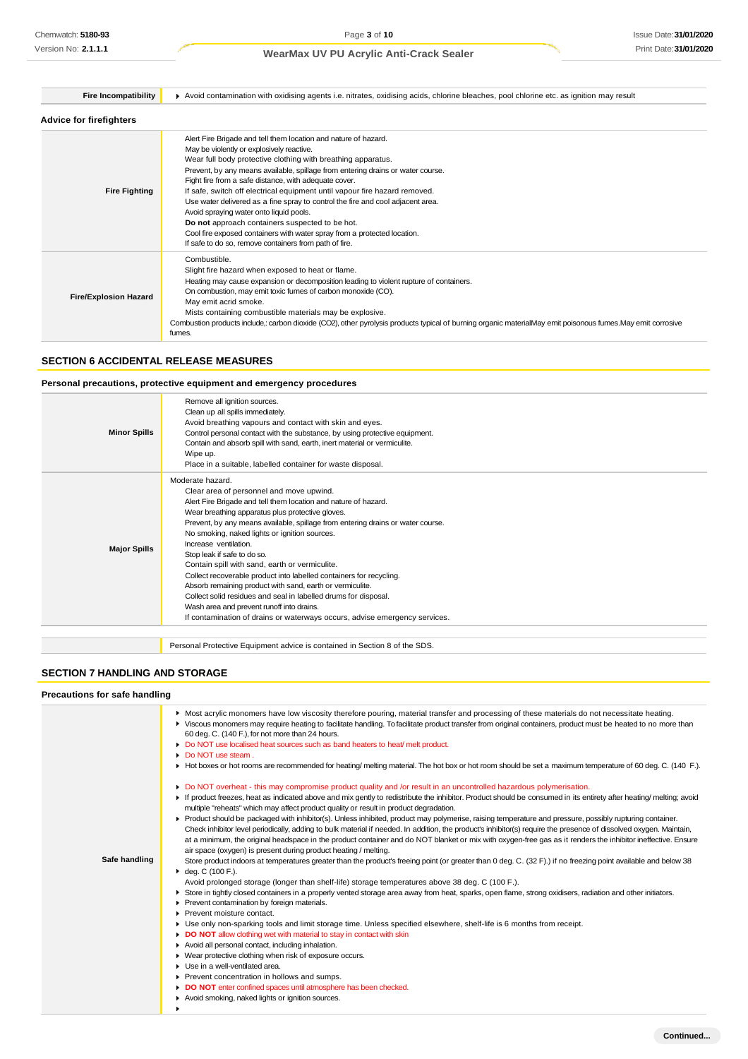| <b>Fire Incompatibility</b>    | Avoid contamination with oxidising agents i.e. nitrates, oxidising acids, chlorine bleaches, pool chlorine etc. as ignition may result                                                                                                                                                                                                                                                                                                                                                                                                                                                                                                                                                                                        |  |  |
|--------------------------------|-------------------------------------------------------------------------------------------------------------------------------------------------------------------------------------------------------------------------------------------------------------------------------------------------------------------------------------------------------------------------------------------------------------------------------------------------------------------------------------------------------------------------------------------------------------------------------------------------------------------------------------------------------------------------------------------------------------------------------|--|--|
| <b>Advice for firefighters</b> |                                                                                                                                                                                                                                                                                                                                                                                                                                                                                                                                                                                                                                                                                                                               |  |  |
| <b>Fire Fighting</b>           | Alert Fire Brigade and tell them location and nature of hazard.<br>May be violently or explosively reactive.<br>Wear full body protective clothing with breathing apparatus.<br>Prevent, by any means available, spillage from entering drains or water course.<br>Fight fire from a safe distance, with adequate cover.<br>If safe, switch off electrical equipment until vapour fire hazard removed.<br>Use water delivered as a fine spray to control the fire and cool adjacent area.<br>Avoid spraying water onto liquid pools.<br>Do not approach containers suspected to be hot.<br>Cool fire exposed containers with water spray from a protected location.<br>If safe to do so, remove containers from path of fire. |  |  |
| <b>Fire/Explosion Hazard</b>   | Combustible.<br>Slight fire hazard when exposed to heat or flame.<br>Heating may cause expansion or decomposition leading to violent rupture of containers.<br>On combustion, may emit toxic fumes of carbon monoxide (CO).<br>May emit acrid smoke.<br>Mists containing combustible materials may be explosive.<br>Combustion products include, carbon dioxide (CO2), other pyrolysis products typical of burning organic materialMay emit poisonous fumes. May emit corrosive<br>fumes.                                                                                                                                                                                                                                     |  |  |

# **SECTION 6 ACCIDENTAL RELEASE MEASURES**

### **Personal precautions, protective equipment and emergency procedures**

| <b>Minor Spills</b> | Remove all ignition sources.<br>Clean up all spills immediately.<br>Avoid breathing vapours and contact with skin and eyes.<br>Control personal contact with the substance, by using protective equipment.<br>Contain and absorb spill with sand, earth, inert material or vermiculite.<br>Wipe up.<br>Place in a suitable, labelled container for waste disposal.                                                                                                                                                                                                                                                                                                                                                                                                  |
|---------------------|---------------------------------------------------------------------------------------------------------------------------------------------------------------------------------------------------------------------------------------------------------------------------------------------------------------------------------------------------------------------------------------------------------------------------------------------------------------------------------------------------------------------------------------------------------------------------------------------------------------------------------------------------------------------------------------------------------------------------------------------------------------------|
| <b>Major Spills</b> | Moderate hazard.<br>Clear area of personnel and move upwind.<br>Alert Fire Brigade and tell them location and nature of hazard.<br>Wear breathing apparatus plus protective gloves.<br>Prevent, by any means available, spillage from entering drains or water course.<br>No smoking, naked lights or ignition sources.<br>Increase ventilation.<br>Stop leak if safe to do so.<br>Contain spill with sand, earth or vermiculite.<br>Collect recoverable product into labelled containers for recycling.<br>Absorb remaining product with sand, earth or vermiculite.<br>Collect solid residues and seal in labelled drums for disposal.<br>Wash area and prevent runoff into drains.<br>If contamination of drains or waterways occurs, advise emergency services. |
|                     |                                                                                                                                                                                                                                                                                                                                                                                                                                                                                                                                                                                                                                                                                                                                                                     |

Personal Protective Equipment advice is contained in Section 8 of the SDS.

# **SECTION 7 HANDLING AND STORAGE**

### **Precautions for safe handling**

| Safe handling | • Most acrylic monomers have low viscosity therefore pouring, material transfer and processing of these materials do not necessitate heating.<br>▶ Viscous monomers may require heating to facilitate handling. To facilitate product transfer from original containers, product must be heated to no more than<br>60 deg. C. (140 F.), for not more than 24 hours.<br>Do NOT use localised heat sources such as band heaters to heat/melt product.<br>• Do NOT use steam.<br>► Hot boxes or hot rooms are recommended for heating/melting material. The hot box or hot room should be set a maximum temperature of 60 deg. C. (140 F.).<br>Do NOT overheat - this may compromise product quality and /or result in an uncontrolled hazardous polymerisation.<br>If product freezes, heat as indicated above and mix gently to redistribute the inhibitor. Product should be consumed in its entirety after heating/ melting; avoid<br>multiple "reheats" which may affect product quality or result in product degradation.<br>▶ Product should be packaged with inhibitor(s). Unless inhibited, product may polymerise, raising temperature and pressure, possibly rupturing container.<br>Check inhibitor level periodically, adding to bulk material if needed. In addition, the product's inhibitor(s) require the presence of dissolved oxygen. Maintain,<br>at a minimum, the original headspace in the product container and do NOT blanket or mix with oxygen-free gas as it renders the inhibitor ineffective. Ensure<br>air space (oxygen) is present during product heating / melting.<br>Store product indoors at temperatures greater than the product's freeing point (or greater than 0 deg. C. (32 F).) if no freezing point available and below 38<br>$\bullet$ deg. C (100 F.).<br>Avoid prolonged storage (longer than shelf-life) storage temperatures above 38 deg. C (100 F.).<br>Store in tightly closed containers in a properly vented storage area away from heat, sparks, open flame, strong oxidisers, radiation and other initiators.<br>Prevent contamination by foreign materials.<br>Prevent moisture contact.<br>Use only non-sparking tools and limit storage time. Unless specified elsewhere, shelf-life is 6 months from receipt.<br>DO NOT allow clothing wet with material to stay in contact with skin<br>Avoid all personal contact, including inhalation. |
|---------------|------------------------------------------------------------------------------------------------------------------------------------------------------------------------------------------------------------------------------------------------------------------------------------------------------------------------------------------------------------------------------------------------------------------------------------------------------------------------------------------------------------------------------------------------------------------------------------------------------------------------------------------------------------------------------------------------------------------------------------------------------------------------------------------------------------------------------------------------------------------------------------------------------------------------------------------------------------------------------------------------------------------------------------------------------------------------------------------------------------------------------------------------------------------------------------------------------------------------------------------------------------------------------------------------------------------------------------------------------------------------------------------------------------------------------------------------------------------------------------------------------------------------------------------------------------------------------------------------------------------------------------------------------------------------------------------------------------------------------------------------------------------------------------------------------------------------------------------------------------------------------------------------------------------------------------------------------------------------------------------------------------------------------------------------------------------------------------------------------------------------------------------------------------------------------------------------------------------------------------------------------------------------------------------------------------------------------------------------------------------------------------------------------|
|               |                                                                                                                                                                                                                                                                                                                                                                                                                                                                                                                                                                                                                                                                                                                                                                                                                                                                                                                                                                                                                                                                                                                                                                                                                                                                                                                                                                                                                                                                                                                                                                                                                                                                                                                                                                                                                                                                                                                                                                                                                                                                                                                                                                                                                                                                                                                                                                                                      |
|               |                                                                                                                                                                                                                                                                                                                                                                                                                                                                                                                                                                                                                                                                                                                                                                                                                                                                                                                                                                                                                                                                                                                                                                                                                                                                                                                                                                                                                                                                                                                                                                                                                                                                                                                                                                                                                                                                                                                                                                                                                                                                                                                                                                                                                                                                                                                                                                                                      |
|               |                                                                                                                                                                                                                                                                                                                                                                                                                                                                                                                                                                                                                                                                                                                                                                                                                                                                                                                                                                                                                                                                                                                                                                                                                                                                                                                                                                                                                                                                                                                                                                                                                                                                                                                                                                                                                                                                                                                                                                                                                                                                                                                                                                                                                                                                                                                                                                                                      |
|               |                                                                                                                                                                                                                                                                                                                                                                                                                                                                                                                                                                                                                                                                                                                                                                                                                                                                                                                                                                                                                                                                                                                                                                                                                                                                                                                                                                                                                                                                                                                                                                                                                                                                                                                                                                                                                                                                                                                                                                                                                                                                                                                                                                                                                                                                                                                                                                                                      |
|               | • Wear protective clothing when risk of exposure occurs.<br>Use in a well-ventilated area.<br>٠                                                                                                                                                                                                                                                                                                                                                                                                                                                                                                                                                                                                                                                                                                                                                                                                                                                                                                                                                                                                                                                                                                                                                                                                                                                                                                                                                                                                                                                                                                                                                                                                                                                                                                                                                                                                                                                                                                                                                                                                                                                                                                                                                                                                                                                                                                      |
|               | Prevent concentration in hollows and sumps.                                                                                                                                                                                                                                                                                                                                                                                                                                                                                                                                                                                                                                                                                                                                                                                                                                                                                                                                                                                                                                                                                                                                                                                                                                                                                                                                                                                                                                                                                                                                                                                                                                                                                                                                                                                                                                                                                                                                                                                                                                                                                                                                                                                                                                                                                                                                                          |
|               | DO NOT enter confined spaces until atmosphere has been checked.                                                                                                                                                                                                                                                                                                                                                                                                                                                                                                                                                                                                                                                                                                                                                                                                                                                                                                                                                                                                                                                                                                                                                                                                                                                                                                                                                                                                                                                                                                                                                                                                                                                                                                                                                                                                                                                                                                                                                                                                                                                                                                                                                                                                                                                                                                                                      |
|               | Avoid smoking, naked lights or ignition sources.                                                                                                                                                                                                                                                                                                                                                                                                                                                                                                                                                                                                                                                                                                                                                                                                                                                                                                                                                                                                                                                                                                                                                                                                                                                                                                                                                                                                                                                                                                                                                                                                                                                                                                                                                                                                                                                                                                                                                                                                                                                                                                                                                                                                                                                                                                                                                     |
|               |                                                                                                                                                                                                                                                                                                                                                                                                                                                                                                                                                                                                                                                                                                                                                                                                                                                                                                                                                                                                                                                                                                                                                                                                                                                                                                                                                                                                                                                                                                                                                                                                                                                                                                                                                                                                                                                                                                                                                                                                                                                                                                                                                                                                                                                                                                                                                                                                      |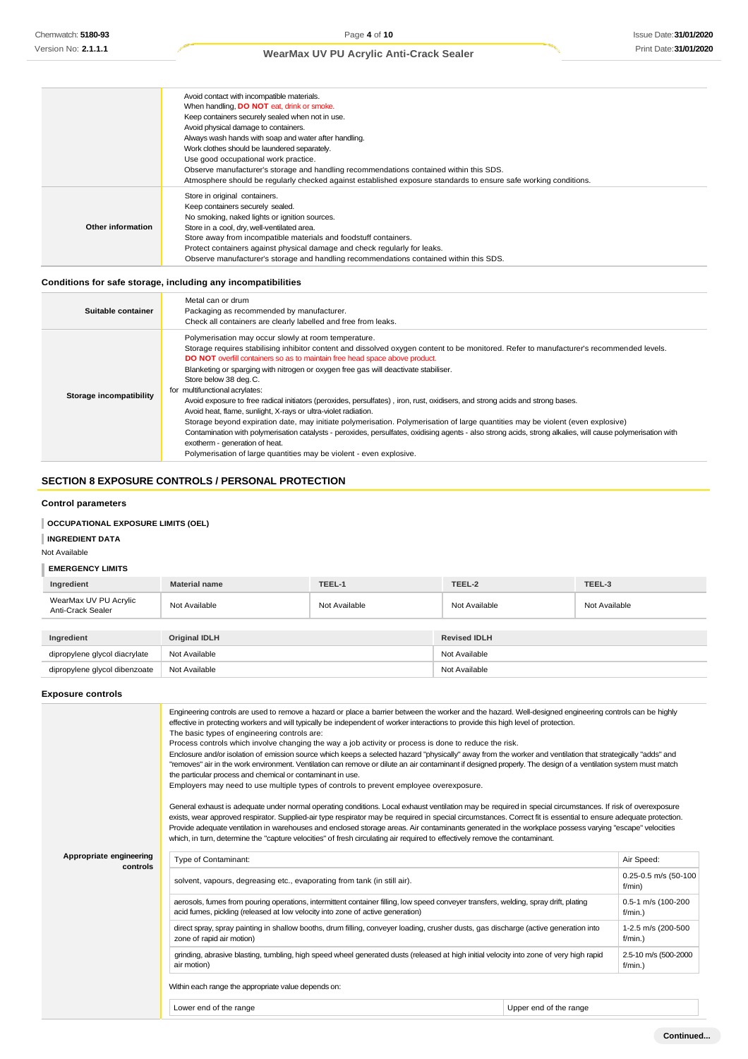|                                                                                        | Avoid contact with incompatible materials.                                                                       |  |
|----------------------------------------------------------------------------------------|------------------------------------------------------------------------------------------------------------------|--|
|                                                                                        | When handling, <b>DO NOT</b> eat, drink or smoke.                                                                |  |
|                                                                                        | Keep containers securely sealed when not in use.                                                                 |  |
| Avoid physical damage to containers.                                                   |                                                                                                                  |  |
|                                                                                        | Always wash hands with soap and water after handling.                                                            |  |
|                                                                                        | Work clothes should be laundered separately.                                                                     |  |
|                                                                                        | Use good occupational work practice.                                                                             |  |
| Observe manufacturer's storage and handling recommendations contained within this SDS. |                                                                                                                  |  |
|                                                                                        | Atmosphere should be regularly checked against established exposure standards to ensure safe working conditions. |  |
|                                                                                        | Store in original containers.                                                                                    |  |
|                                                                                        | Keep containers securely sealed.                                                                                 |  |
|                                                                                        | No smoking, naked lights or ignition sources.                                                                    |  |
| Other information                                                                      | Store in a cool, dry, well-ventilated area.                                                                      |  |
|                                                                                        | Store away from incompatible materials and foodstuff containers.                                                 |  |
|                                                                                        | Protect containers against physical damage and check regularly for leaks.                                        |  |
|                                                                                        | Observe manufacturer's storage and handling recommendations contained within this SDS.                           |  |
|                                                                                        |                                                                                                                  |  |

# **Conditions for safe storage, including any incompatibilities**

| Suitable container      | Metal can or drum<br>Packaging as recommended by manufacturer.<br>Check all containers are clearly labelled and free from leaks.                                                                                                                                                                                                                                                                                                                                                                                                                                                                                                                                                                                                                                                                                                                                                                                                                                                                                                                |
|-------------------------|-------------------------------------------------------------------------------------------------------------------------------------------------------------------------------------------------------------------------------------------------------------------------------------------------------------------------------------------------------------------------------------------------------------------------------------------------------------------------------------------------------------------------------------------------------------------------------------------------------------------------------------------------------------------------------------------------------------------------------------------------------------------------------------------------------------------------------------------------------------------------------------------------------------------------------------------------------------------------------------------------------------------------------------------------|
| Storage incompatibility | Polymerisation may occur slowly at room temperature.<br>Storage requires stabilising inhibitor content and dissolved oxygen content to be monitored. Refer to manufacturer's recommended levels.<br>DO NOT overfill containers so as to maintain free head space above product.<br>Blanketing or sparging with nitrogen or oxygen free gas will deactivate stabiliser.<br>Store below 38 deg.C.<br>for multifunctional acrylates:<br>Avoid exposure to free radical initiators (peroxides, persulfates), iron, rust, oxidisers, and strong acids and strong bases.<br>Avoid heat, flame, sunlight, X-rays or ultra-violet radiation.<br>Storage beyond expiration date, may initiate polymerisation. Polymerisation of large quantities may be violent (even explosive)<br>Contamination with polymerisation catalysts - peroxides, persulfates, oxidising agents - also strong acids, strong alkalies, will cause polymerisation with<br>exotherm - generation of heat.<br>Polymerisation of large quantities may be violent - even explosive. |

# **SECTION 8 EXPOSURE CONTROLS / PERSONAL PROTECTION**

### **Control parameters**

# **OCCUPATIONAL EXPOSURE LIMITS (OEL)**

# **INGREDIENT DATA**

Not Available

# **EMERGENCY LIMITS**

| Ingredient                                 | <b>Material name</b> | TEEL-1        | TEEL-2              | TEEL-3        |
|--------------------------------------------|----------------------|---------------|---------------------|---------------|
| WearMax UV PU Acrylic<br>Anti-Crack Sealer | Not Available        | Not Available | Not Available       | Not Available |
|                                            |                      |               |                     |               |
| Ingredient                                 | <b>Original IDLH</b> |               | <b>Revised IDLH</b> |               |
| dipropylene glycol diacrylate              | Not Available        |               | Not Available       |               |
| dipropylene glycol dibenzoate              | Not Available        |               | Not Available       |               |

# **Exposure controls**

|                                     | Engineering controls are used to remove a hazard or place a barrier between the worker and the hazard. Well-designed engineering controls can be highly<br>effective in protecting workers and will typically be independent of worker interactions to provide this high level of protection.<br>The basic types of engineering controls are:<br>Process controls which involve changing the way a job activity or process is done to reduce the risk.<br>Enclosure and/or isolation of emission source which keeps a selected hazard "physically" away from the worker and ventilation that strategically "adds" and<br>"removes" air in the work environment. Ventilation can remove or dilute an air contaminant if designed properly. The design of a ventilation system must match<br>the particular process and chemical or contaminant in use.<br>Employers may need to use multiple types of controls to prevent employee overexposure.<br>General exhaust is adequate under normal operating conditions. Local exhaust ventilation may be required in special circumstances. If risk of overexposure<br>exists, wear approved respirator. Supplied-air type respirator may be required in special circumstances. Correct fit is essential to ensure adequate protection.<br>Provide adequate ventilation in warehouses and enclosed storage areas. Air contaminants generated in the workplace possess varying "escape" velocities<br>which, in turn, determine the "capture velocities" of fresh circulating air required to effectively remove the contaminant. |                        |                                    |  |
|-------------------------------------|----------------------------------------------------------------------------------------------------------------------------------------------------------------------------------------------------------------------------------------------------------------------------------------------------------------------------------------------------------------------------------------------------------------------------------------------------------------------------------------------------------------------------------------------------------------------------------------------------------------------------------------------------------------------------------------------------------------------------------------------------------------------------------------------------------------------------------------------------------------------------------------------------------------------------------------------------------------------------------------------------------------------------------------------------------------------------------------------------------------------------------------------------------------------------------------------------------------------------------------------------------------------------------------------------------------------------------------------------------------------------------------------------------------------------------------------------------------------------------------------------------------------------------------------------------------------------|------------------------|------------------------------------|--|
| Appropriate engineering<br>controls | Type of Contaminant:                                                                                                                                                                                                                                                                                                                                                                                                                                                                                                                                                                                                                                                                                                                                                                                                                                                                                                                                                                                                                                                                                                                                                                                                                                                                                                                                                                                                                                                                                                                                                       |                        | Air Speed:                         |  |
|                                     | solvent, vapours, degreasing etc., evaporating from tank (in still air).                                                                                                                                                                                                                                                                                                                                                                                                                                                                                                                                                                                                                                                                                                                                                                                                                                                                                                                                                                                                                                                                                                                                                                                                                                                                                                                                                                                                                                                                                                   |                        | 0.25-0.5 m/s (50-100<br>f/min)     |  |
|                                     | aerosols, fumes from pouring operations, intermittent container filling, low speed conveyer transfers, welding, spray drift, plating<br>acid fumes, pickling (released at low velocity into zone of active generation)                                                                                                                                                                                                                                                                                                                                                                                                                                                                                                                                                                                                                                                                                                                                                                                                                                                                                                                                                                                                                                                                                                                                                                                                                                                                                                                                                     |                        | 0.5-1 m/s (100-200<br>$f/min.$ )   |  |
|                                     | direct spray, spray painting in shallow booths, drum filling, conveyer loading, crusher dusts, gas discharge (active generation into<br>zone of rapid air motion)                                                                                                                                                                                                                                                                                                                                                                                                                                                                                                                                                                                                                                                                                                                                                                                                                                                                                                                                                                                                                                                                                                                                                                                                                                                                                                                                                                                                          |                        | 1-2.5 m/s (200-500<br>$f/min.$ )   |  |
|                                     | grinding, abrasive blasting, tumbling, high speed wheel generated dusts (released at high initial velocity into zone of very high rapid<br>air motion)                                                                                                                                                                                                                                                                                                                                                                                                                                                                                                                                                                                                                                                                                                                                                                                                                                                                                                                                                                                                                                                                                                                                                                                                                                                                                                                                                                                                                     |                        | 2.5-10 m/s (500-2000<br>$f/min.$ ) |  |
|                                     | Within each range the appropriate value depends on:                                                                                                                                                                                                                                                                                                                                                                                                                                                                                                                                                                                                                                                                                                                                                                                                                                                                                                                                                                                                                                                                                                                                                                                                                                                                                                                                                                                                                                                                                                                        |                        |                                    |  |
|                                     | Lower end of the range                                                                                                                                                                                                                                                                                                                                                                                                                                                                                                                                                                                                                                                                                                                                                                                                                                                                                                                                                                                                                                                                                                                                                                                                                                                                                                                                                                                                                                                                                                                                                     | Upper end of the range |                                    |  |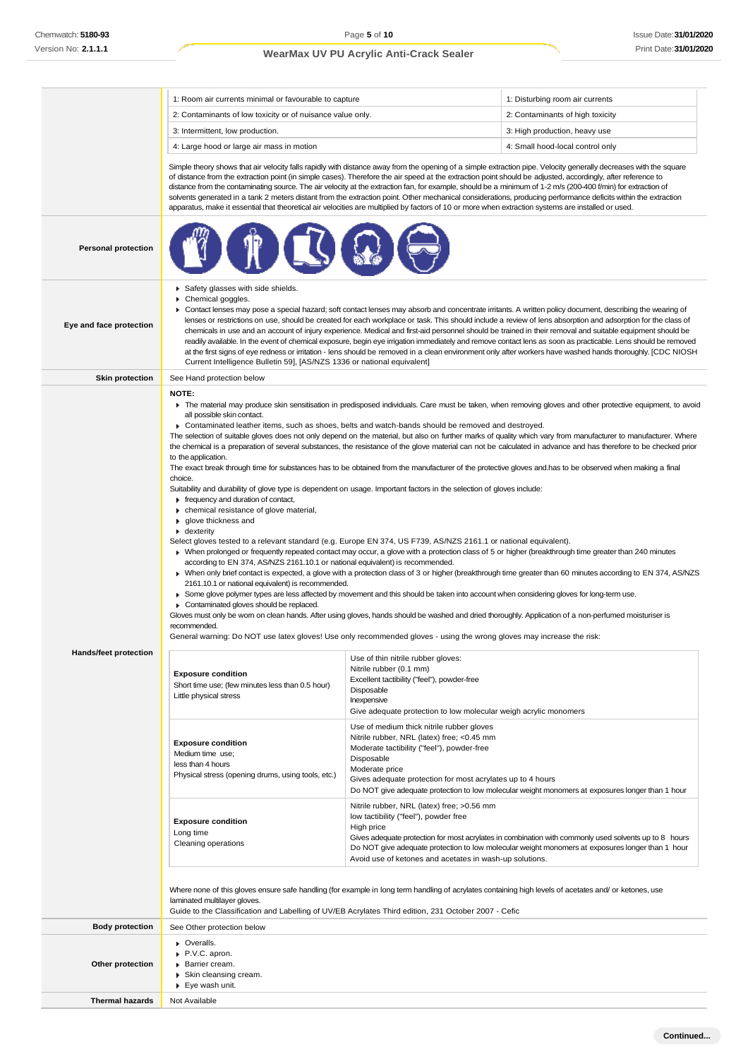|                              | 1: Room air currents minimal or favourable to capture                                                                                                                                                                                                                                                                                                                                                                                                                                                                                                                                                                                                                                                                                                                                                                                                                                                                                                                                                                                                                                                                                                                                                                                                                                                                                                                                                                                                                                                                                                                                                                                                                                                                                                                                                                                                                                                                                                                                                                                                                                                                                                                                                                       |                                                                                                                                                                                                                                                                                                     | 1: Disturbing room air currents                                                                                                                                                                           |
|------------------------------|-----------------------------------------------------------------------------------------------------------------------------------------------------------------------------------------------------------------------------------------------------------------------------------------------------------------------------------------------------------------------------------------------------------------------------------------------------------------------------------------------------------------------------------------------------------------------------------------------------------------------------------------------------------------------------------------------------------------------------------------------------------------------------------------------------------------------------------------------------------------------------------------------------------------------------------------------------------------------------------------------------------------------------------------------------------------------------------------------------------------------------------------------------------------------------------------------------------------------------------------------------------------------------------------------------------------------------------------------------------------------------------------------------------------------------------------------------------------------------------------------------------------------------------------------------------------------------------------------------------------------------------------------------------------------------------------------------------------------------------------------------------------------------------------------------------------------------------------------------------------------------------------------------------------------------------------------------------------------------------------------------------------------------------------------------------------------------------------------------------------------------------------------------------------------------------------------------------------------------|-----------------------------------------------------------------------------------------------------------------------------------------------------------------------------------------------------------------------------------------------------------------------------------------------------|-----------------------------------------------------------------------------------------------------------------------------------------------------------------------------------------------------------|
|                              | 2: Contaminants of low toxicity or of nuisance value only.                                                                                                                                                                                                                                                                                                                                                                                                                                                                                                                                                                                                                                                                                                                                                                                                                                                                                                                                                                                                                                                                                                                                                                                                                                                                                                                                                                                                                                                                                                                                                                                                                                                                                                                                                                                                                                                                                                                                                                                                                                                                                                                                                                  |                                                                                                                                                                                                                                                                                                     | 2: Contaminants of high toxicity                                                                                                                                                                          |
|                              | 3: Intermittent, low production.                                                                                                                                                                                                                                                                                                                                                                                                                                                                                                                                                                                                                                                                                                                                                                                                                                                                                                                                                                                                                                                                                                                                                                                                                                                                                                                                                                                                                                                                                                                                                                                                                                                                                                                                                                                                                                                                                                                                                                                                                                                                                                                                                                                            |                                                                                                                                                                                                                                                                                                     | 3: High production, heavy use                                                                                                                                                                             |
|                              | 4: Large hood or large air mass in motion                                                                                                                                                                                                                                                                                                                                                                                                                                                                                                                                                                                                                                                                                                                                                                                                                                                                                                                                                                                                                                                                                                                                                                                                                                                                                                                                                                                                                                                                                                                                                                                                                                                                                                                                                                                                                                                                                                                                                                                                                                                                                                                                                                                   |                                                                                                                                                                                                                                                                                                     | 4: Small hood-local control only                                                                                                                                                                          |
|                              | Simple theory shows that air velocity falls rapidly with distance away from the opening of a simple extraction pipe. Velocity generally decreases with the square<br>of distance from the extraction point (in simple cases). Therefore the air speed at the extraction point should be adjusted, accordingly, after reference to<br>distance from the contaminating source. The air velocity at the extraction fan, for example, should be a minimum of 1-2 m/s (200-400 f/min) for extraction of<br>solvents generated in a tank 2 meters distant from the extraction point. Other mechanical considerations, producing performance deficits within the extraction<br>apparatus, make it essential that theoretical air velocities are multiplied by factors of 10 or more when extraction systems are installed or used.                                                                                                                                                                                                                                                                                                                                                                                                                                                                                                                                                                                                                                                                                                                                                                                                                                                                                                                                                                                                                                                                                                                                                                                                                                                                                                                                                                                                 |                                                                                                                                                                                                                                                                                                     |                                                                                                                                                                                                           |
| <b>Personal protection</b>   |                                                                                                                                                                                                                                                                                                                                                                                                                                                                                                                                                                                                                                                                                                                                                                                                                                                                                                                                                                                                                                                                                                                                                                                                                                                                                                                                                                                                                                                                                                                                                                                                                                                                                                                                                                                                                                                                                                                                                                                                                                                                                                                                                                                                                             |                                                                                                                                                                                                                                                                                                     |                                                                                                                                                                                                           |
| Eye and face protection      | Safety glasses with side shields.<br>Chemical goggles.<br>► Contact lenses may pose a special hazard; soft contact lenses may absorb and concentrate irritants. A written policy document, describing the wearing of<br>lenses or restrictions on use, should be created for each workplace or task. This should include a review of lens absorption and adsorption for the class of<br>chemicals in use and an account of injury experience. Medical and first-aid personnel should be trained in their removal and suitable equipment should be<br>readily available. In the event of chemical exposure, begin eye irrigation immediately and remove contact lens as soon as practicable. Lens should be removed<br>at the first signs of eye redness or irritation - lens should be removed in a clean environment only after workers have washed hands thoroughly. [CDC NIOSH<br>Current Intelligence Bulletin 59], [AS/NZS 1336 or national equivalent]                                                                                                                                                                                                                                                                                                                                                                                                                                                                                                                                                                                                                                                                                                                                                                                                                                                                                                                                                                                                                                                                                                                                                                                                                                                                |                                                                                                                                                                                                                                                                                                     |                                                                                                                                                                                                           |
| <b>Skin protection</b>       | See Hand protection below                                                                                                                                                                                                                                                                                                                                                                                                                                                                                                                                                                                                                                                                                                                                                                                                                                                                                                                                                                                                                                                                                                                                                                                                                                                                                                                                                                                                                                                                                                                                                                                                                                                                                                                                                                                                                                                                                                                                                                                                                                                                                                                                                                                                   |                                                                                                                                                                                                                                                                                                     |                                                                                                                                                                                                           |
| <b>Hands/feet protection</b> | NOTE:<br>The material may produce skin sensitisation in predisposed individuals. Care must be taken, when removing gloves and other protective equipment, to avoid<br>all possible skin contact.<br>▶ Contaminated leather items, such as shoes, belts and watch-bands should be removed and destroyed.<br>The selection of suitable gloves does not only depend on the material, but also on further marks of quality which vary from manufacturer to manufacturer. Where<br>the chemical is a preparation of several substances, the resistance of the glove material can not be calculated in advance and has therefore to be checked prior<br>to the application.<br>The exact break through time for substances has to be obtained from the manufacturer of the protective gloves and has to be observed when making a final<br>choice.<br>Suitability and durability of glove type is dependent on usage. Important factors in the selection of gloves include:<br>Firequency and duration of contact,<br>• chemical resistance of glove material,<br>▶ glove thickness and<br>$\bullet$ dexterity<br>Select gloves tested to a relevant standard (e.g. Europe EN 374, US F739, AS/NZS 2161.1 or national equivalent).<br>▶ When prolonged or frequently repeated contact may occur, a glove with a protection class of 5 or higher (breakthrough time greater than 240 minutes<br>according to EN 374, AS/NZS 2161.10.1 or national equivalent) is recommended.<br>> When only brief contact is expected, a glove with a protection class of 3 or higher (breakthrough time greater than 60 minutes according to EN 374, AS/NZS<br>2161.10.1 or national equivalent) is recommended.<br>► Some glove polymer types are less affected by movement and this should be taken into account when considering gloves for long-term use.<br>Contaminated gloves should be replaced.<br>Gloves must only be wom on clean hands. After using gloves, hands should be washed and dried thoroughly. Application of a non-perfumed moisturiser is<br>recommended.<br>General warning: Do NOT use latex gloves! Use only recommended gloves - using the wrong gloves may increase the risk:<br>Use of thin nitrile rubber gloves: |                                                                                                                                                                                                                                                                                                     |                                                                                                                                                                                                           |
|                              | <b>Exposure condition</b><br>Short time use; (few minutes less than 0.5 hour)<br>Little physical stress<br><b>Exposure condition</b><br>Medium time use;                                                                                                                                                                                                                                                                                                                                                                                                                                                                                                                                                                                                                                                                                                                                                                                                                                                                                                                                                                                                                                                                                                                                                                                                                                                                                                                                                                                                                                                                                                                                                                                                                                                                                                                                                                                                                                                                                                                                                                                                                                                                    | Excellent tactibility ("feel"), powder-free<br>Disposable<br>Inexpensive<br>Give adequate protection to low molecular weigh acrylic monomers<br>Use of medium thick nitrile rubber gloves<br>Nitrile rubber, NRL (latex) free; <0.45 mm<br>Moderate tactibility ("feel"), powder-free<br>Disposable |                                                                                                                                                                                                           |
|                              | less than 4 hours<br>Physical stress (opening drums, using tools, etc.)                                                                                                                                                                                                                                                                                                                                                                                                                                                                                                                                                                                                                                                                                                                                                                                                                                                                                                                                                                                                                                                                                                                                                                                                                                                                                                                                                                                                                                                                                                                                                                                                                                                                                                                                                                                                                                                                                                                                                                                                                                                                                                                                                     | Moderate price<br>Gives adequate protection for most acrylates up to 4 hours                                                                                                                                                                                                                        | Do NOT give adequate protection to low molecular weight monomers at exposures longer than 1 hour                                                                                                          |
|                              | <b>Exposure condition</b><br>Long time<br>Cleaning operations                                                                                                                                                                                                                                                                                                                                                                                                                                                                                                                                                                                                                                                                                                                                                                                                                                                                                                                                                                                                                                                                                                                                                                                                                                                                                                                                                                                                                                                                                                                                                                                                                                                                                                                                                                                                                                                                                                                                                                                                                                                                                                                                                               | Nitrile rubber, NRL (latex) free; >0.56 mm<br>low tactibility ("feel"), powder free<br>High price<br>Avoid use of ketones and acetates in wash-up solutions.                                                                                                                                        | Gives adequate protection for most acrylates in combination with commonly used solvents up to 8 hours<br>Do NOT give adequate protection to low molecular weight monomers at exposures longer than 1 hour |
|                              | Where none of this gloves ensure safe handling (for example in long term handling of acrylates containing high levels of acetates and/ or ketones, use<br>laminated multilayer gloves.<br>Guide to the Classification and Labelling of UV/EB Acrylates Third edition, 231 October 2007 - Cefic                                                                                                                                                                                                                                                                                                                                                                                                                                                                                                                                                                                                                                                                                                                                                                                                                                                                                                                                                                                                                                                                                                                                                                                                                                                                                                                                                                                                                                                                                                                                                                                                                                                                                                                                                                                                                                                                                                                              |                                                                                                                                                                                                                                                                                                     |                                                                                                                                                                                                           |
| <b>Body protection</b>       | See Other protection below                                                                                                                                                                                                                                                                                                                                                                                                                                                                                                                                                                                                                                                                                                                                                                                                                                                                                                                                                                                                                                                                                                                                                                                                                                                                                                                                                                                                                                                                                                                                                                                                                                                                                                                                                                                                                                                                                                                                                                                                                                                                                                                                                                                                  |                                                                                                                                                                                                                                                                                                     |                                                                                                                                                                                                           |
| Other protection             | • Overalls.<br>P.V.C. apron.<br>Barrier cream.<br>Skin cleansing cream.<br>▶ Eye wash unit.                                                                                                                                                                                                                                                                                                                                                                                                                                                                                                                                                                                                                                                                                                                                                                                                                                                                                                                                                                                                                                                                                                                                                                                                                                                                                                                                                                                                                                                                                                                                                                                                                                                                                                                                                                                                                                                                                                                                                                                                                                                                                                                                 |                                                                                                                                                                                                                                                                                                     |                                                                                                                                                                                                           |
| <b>Thermal hazards</b>       | Not Available                                                                                                                                                                                                                                                                                                                                                                                                                                                                                                                                                                                                                                                                                                                                                                                                                                                                                                                                                                                                                                                                                                                                                                                                                                                                                                                                                                                                                                                                                                                                                                                                                                                                                                                                                                                                                                                                                                                                                                                                                                                                                                                                                                                                               |                                                                                                                                                                                                                                                                                                     |                                                                                                                                                                                                           |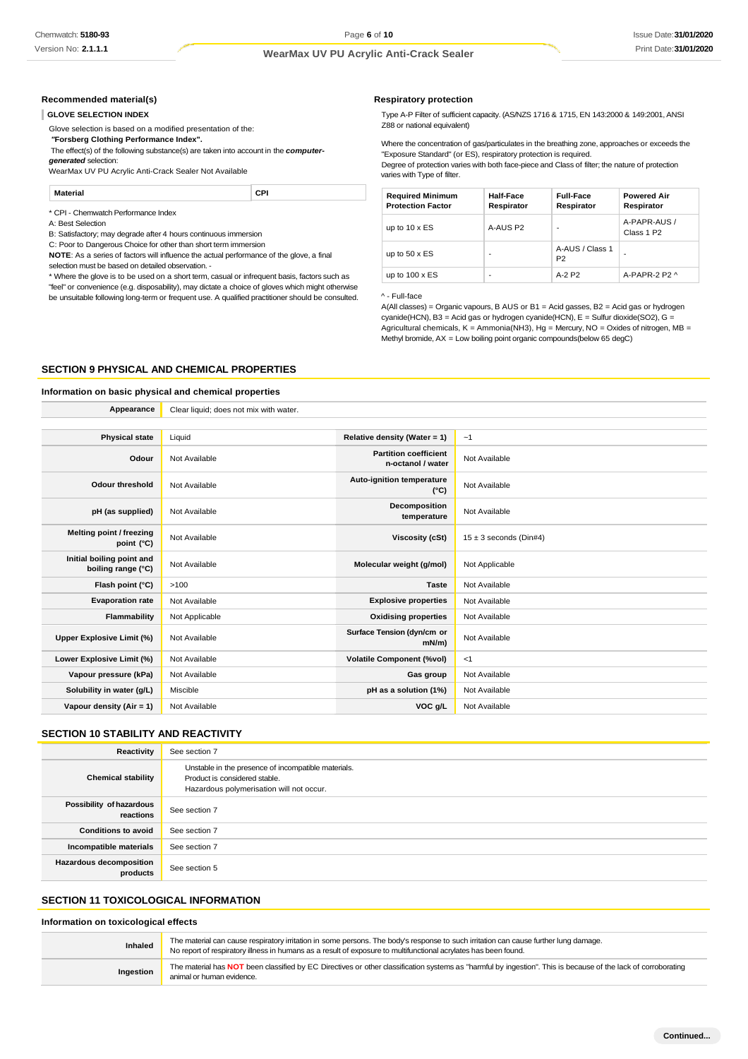#### **Recommended material(s)**

#### **GLOVE SELECTION INDEX**

Glove selection is based on a modified presentation of the:

*"***Forsberg Clothing Performance Index".** The effect(s) of the following substance(s) are taken into account in the *computergenerated* selection:

WearMax UV PU Acrylic Anti-Crack Sealer Not Available

**Material CPI**

\* CPI - Chemwatch Performance Index

A: Best Selection

B: Satisfactory; may degrade after 4 hours continuous immersion

C: Poor to Dangerous Choice for other than short term immersion

**NOTE**: As a series of factors will influence the actual performance of the glove, a final selection must be based on detailed observation. -

\* Where the glove is to be used on a short term, casual or infrequent basis, factors such as "feel" or convenience (e.g. disposability), may dictate a choice of gloves which might otherwise be unsuitable following long-term or frequent use. A qualified practitioner should be consulted.

#### **Respiratory protection**

Type A-P Filter of sufficient capacity. (AS/NZS 1716 & 1715, EN 143:2000 & 149:2001, ANSI Z88 or national equivalent)

Where the concentration of gas/particulates in the breathing zone, approaches or exceeds the "Exposure Standard" (or ES), respiratory protection is required.

Degree of protection varies with both face-piece and Class of filter; the nature of protection varies with Type of filter.

| <b>Required Minimum</b><br><b>Protection Factor</b> | Half-Face<br>Respirator | <b>Full-Face</b><br>Respirator    | <b>Powered Air</b><br>Respirator       |
|-----------------------------------------------------|-------------------------|-----------------------------------|----------------------------------------|
| up to $10 \times ES$                                | A-AUS P2                | $\overline{\phantom{0}}$          | A-PAPR-AUS /<br>Class 1 P <sub>2</sub> |
| up to $50 \times ES$                                | -                       | A-AUS / Class 1<br>P <sub>2</sub> | -                                      |
| up to $100 \times ES$                               | ۰                       | $A-2P2$                           | A-PAPR-2 P2 $\land$                    |

^ - Full-face

A(All classes) = Organic vapours, B AUS or B1 = Acid gasses, B2 = Acid gas or hydrogen cyanide(HCN), B3 = Acid gas or hydrogen cyanide(HCN), E = Sulfur dioxide(SO2), G = Agricultural chemicals,  $K =$  Ammonia(NH3), Hg = Mercury, NO = Oxides of nitrogen, MB = Methyl bromide, AX = Low boiling point organic compounds(below 65 degC)

#### **SECTION 9 PHYSICAL AND CHEMICAL PROPERTIES**

# **Information on basic physical and chemical properties**

| Appearance                                      | Clear liquid; does not mix with water. |                                                   |                            |
|-------------------------------------------------|----------------------------------------|---------------------------------------------------|----------------------------|
|                                                 |                                        |                                                   |                            |
| <b>Physical state</b>                           | Liquid                                 | Relative density (Water = 1)                      | $-1$                       |
| Odour                                           | Not Available                          | <b>Partition coefficient</b><br>n-octanol / water | Not Available              |
| <b>Odour threshold</b>                          | Not Available                          | Auto-ignition temperature<br>$(^{\circ}C)$        | Not Available              |
| pH (as supplied)                                | Not Available                          | Decomposition<br>temperature                      | Not Available              |
| Melting point / freezing<br>point (°C)          | Not Available                          | Viscosity (cSt)                                   | $15 \pm 3$ seconds (Din#4) |
| Initial boiling point and<br>boiling range (°C) | Not Available                          | Molecular weight (g/mol)                          | Not Applicable             |
| Flash point (°C)                                | >100                                   | <b>Taste</b>                                      | Not Available              |
| <b>Evaporation rate</b>                         | Not Available                          | <b>Explosive properties</b>                       | Not Available              |
| Flammability                                    | Not Applicable                         | <b>Oxidising properties</b>                       | Not Available              |
| Upper Explosive Limit (%)                       | Not Available                          | Surface Tension (dyn/cm or<br>$mN/m$ )            | Not Available              |
| Lower Explosive Limit (%)                       | Not Available                          | <b>Volatile Component (%vol)</b>                  | <1                         |
| Vapour pressure (kPa)                           | Not Available                          | Gas group                                         | Not Available              |
| Solubility in water (g/L)                       | Miscible                               | pH as a solution (1%)                             | Not Available              |
| Vapour density (Air = $1$ )                     | Not Available                          | VOC g/L                                           | Not Available              |

### **SECTION 10 STABILITY AND REACTIVITY**

| Reactivity                                 | See section 7                                                                                                                    |
|--------------------------------------------|----------------------------------------------------------------------------------------------------------------------------------|
| <b>Chemical stability</b>                  | Unstable in the presence of incompatible materials.<br>Product is considered stable.<br>Hazardous polymerisation will not occur. |
| Possibility of hazardous<br>reactions      | See section 7                                                                                                                    |
| <b>Conditions to avoid</b>                 | See section 7                                                                                                                    |
| Incompatible materials                     | See section 7                                                                                                                    |
| <b>Hazardous decomposition</b><br>products | See section 5                                                                                                                    |

# **SECTION 11 TOXICOLOGICAL INFORMATION**

#### **Information on toxicological effects**

**Inhaled** The material can cause respiratory irritation in some persons. The body's response to such irritation can cause further lung damage. No report of respiratory illness in humans as a result of exposure to multifunctional acrylates has been found **Ingestion** The material has **NOT** been classified by EC Directives or other classification systems as "harmful by ingestion". This is because of the lack of corroborating animal or human evidence.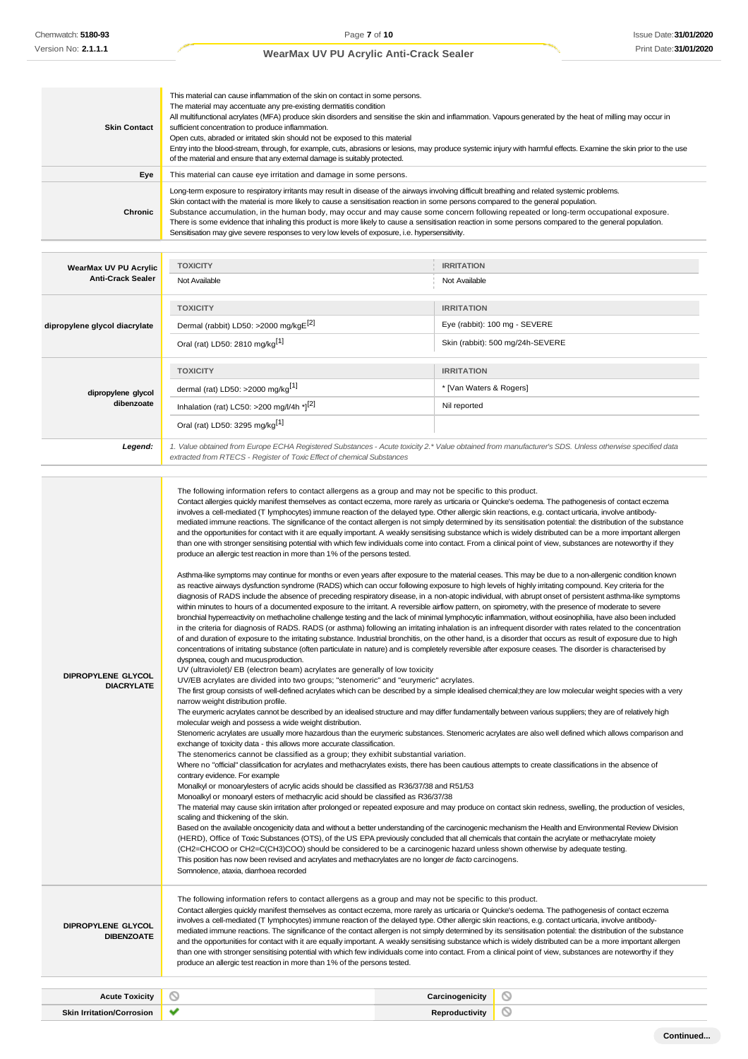| <b>Skin Contact</b>                               | This material can cause inflammation of the skin on contact in some persons.<br>The material may accentuate any pre-existing dermatitis condition<br>All multifunctional acrylates (MFA) produce skin disorders and sensitise the skin and inflammation. Vapours generated by the heat of milling may occur in<br>sufficient concentration to produce inflammation.<br>Open cuts, abraded or irritated skin should not be exposed to this material<br>Entry into the blood-stream, through, for example, cuts, abrasions or lesions, may produce systemic injury with harmful effects. Examine the skin prior to the use<br>of the material and ensure that any external damage is suitably protected.                                                                                                                                                                                                                                                                                                                                                                                                                                                                                                                                                                                                                                                                                                                                                                                                                                                                                                                                                                                                                                                                                                                                                                                                                                                                                                                                                                                                                                                                                                                                                                                                                                                                                                                                                                                                                                                                                                                                                                                                                                                                                                                                                                                                                                                                                                                                                                                                                                                                                                                                                                                                                                                                                                                                                                                                                                                                                                                                                                                                                                                                                                                                                                                                                                                                                                                                                                                                                                                                                                                                                                                                                                                                                                                                                                                                                                                                                                                                                                                                    |                                  |  |
|---------------------------------------------------|-----------------------------------------------------------------------------------------------------------------------------------------------------------------------------------------------------------------------------------------------------------------------------------------------------------------------------------------------------------------------------------------------------------------------------------------------------------------------------------------------------------------------------------------------------------------------------------------------------------------------------------------------------------------------------------------------------------------------------------------------------------------------------------------------------------------------------------------------------------------------------------------------------------------------------------------------------------------------------------------------------------------------------------------------------------------------------------------------------------------------------------------------------------------------------------------------------------------------------------------------------------------------------------------------------------------------------------------------------------------------------------------------------------------------------------------------------------------------------------------------------------------------------------------------------------------------------------------------------------------------------------------------------------------------------------------------------------------------------------------------------------------------------------------------------------------------------------------------------------------------------------------------------------------------------------------------------------------------------------------------------------------------------------------------------------------------------------------------------------------------------------------------------------------------------------------------------------------------------------------------------------------------------------------------------------------------------------------------------------------------------------------------------------------------------------------------------------------------------------------------------------------------------------------------------------------------------------------------------------------------------------------------------------------------------------------------------------------------------------------------------------------------------------------------------------------------------------------------------------------------------------------------------------------------------------------------------------------------------------------------------------------------------------------------------------------------------------------------------------------------------------------------------------------------------------------------------------------------------------------------------------------------------------------------------------------------------------------------------------------------------------------------------------------------------------------------------------------------------------------------------------------------------------------------------------------------------------------------------------------------------------------------------------------------------------------------------------------------------------------------------------------------------------------------------------------------------------------------------------------------------------------------------------------------------------------------------------------------------------------------------------------------------------------------------------------------------------------------------------------------------------------------------------------------------------------------------------------------------------------------------------------------------------------------------------------------------------------------------------------------------------------------------------------------------------------------------------------------------------------------------------------------------------------------------------------------------------------------------------------------------------------------------------------------------------------------------------|----------------------------------|--|
| Eye                                               | This material can cause eye irritation and damage in some persons.                                                                                                                                                                                                                                                                                                                                                                                                                                                                                                                                                                                                                                                                                                                                                                                                                                                                                                                                                                                                                                                                                                                                                                                                                                                                                                                                                                                                                                                                                                                                                                                                                                                                                                                                                                                                                                                                                                                                                                                                                                                                                                                                                                                                                                                                                                                                                                                                                                                                                                                                                                                                                                                                                                                                                                                                                                                                                                                                                                                                                                                                                                                                                                                                                                                                                                                                                                                                                                                                                                                                                                                                                                                                                                                                                                                                                                                                                                                                                                                                                                                                                                                                                                                                                                                                                                                                                                                                                                                                                                                                                                                                                                        |                                  |  |
| <b>Chronic</b>                                    | Long-term exposure to respiratory irritants may result in disease of the airways involving difficult breathing and related systemic problems.<br>Skin contact with the material is more likely to cause a sensitisation reaction in some persons compared to the general population.<br>Substance accumulation, in the human body, may occur and may cause some concern following repeated or long-term occupational exposure.<br>There is some evidence that inhaling this product is more likely to cause a sensitisation reaction in some persons compared to the general population.<br>Sensitisation may give severe responses to very low levels of exposure, i.e. hypersensitivity.                                                                                                                                                                                                                                                                                                                                                                                                                                                                                                                                                                                                                                                                                                                                                                                                                                                                                                                                                                                                                                                                                                                                                                                                                                                                                                                                                                                                                                                                                                                                                                                                                                                                                                                                                                                                                                                                                                                                                                                                                                                                                                                                                                                                                                                                                                                                                                                                                                                                                                                                                                                                                                                                                                                                                                                                                                                                                                                                                                                                                                                                                                                                                                                                                                                                                                                                                                                                                                                                                                                                                                                                                                                                                                                                                                                                                                                                                                                                                                                                                |                                  |  |
|                                                   |                                                                                                                                                                                                                                                                                                                                                                                                                                                                                                                                                                                                                                                                                                                                                                                                                                                                                                                                                                                                                                                                                                                                                                                                                                                                                                                                                                                                                                                                                                                                                                                                                                                                                                                                                                                                                                                                                                                                                                                                                                                                                                                                                                                                                                                                                                                                                                                                                                                                                                                                                                                                                                                                                                                                                                                                                                                                                                                                                                                                                                                                                                                                                                                                                                                                                                                                                                                                                                                                                                                                                                                                                                                                                                                                                                                                                                                                                                                                                                                                                                                                                                                                                                                                                                                                                                                                                                                                                                                                                                                                                                                                                                                                                                           |                                  |  |
| WearMax UV PU Acrylic<br><b>Anti-Crack Sealer</b> | <b>TOXICITY</b>                                                                                                                                                                                                                                                                                                                                                                                                                                                                                                                                                                                                                                                                                                                                                                                                                                                                                                                                                                                                                                                                                                                                                                                                                                                                                                                                                                                                                                                                                                                                                                                                                                                                                                                                                                                                                                                                                                                                                                                                                                                                                                                                                                                                                                                                                                                                                                                                                                                                                                                                                                                                                                                                                                                                                                                                                                                                                                                                                                                                                                                                                                                                                                                                                                                                                                                                                                                                                                                                                                                                                                                                                                                                                                                                                                                                                                                                                                                                                                                                                                                                                                                                                                                                                                                                                                                                                                                                                                                                                                                                                                                                                                                                                           | <b>IRRITATION</b>                |  |
|                                                   | Not Available                                                                                                                                                                                                                                                                                                                                                                                                                                                                                                                                                                                                                                                                                                                                                                                                                                                                                                                                                                                                                                                                                                                                                                                                                                                                                                                                                                                                                                                                                                                                                                                                                                                                                                                                                                                                                                                                                                                                                                                                                                                                                                                                                                                                                                                                                                                                                                                                                                                                                                                                                                                                                                                                                                                                                                                                                                                                                                                                                                                                                                                                                                                                                                                                                                                                                                                                                                                                                                                                                                                                                                                                                                                                                                                                                                                                                                                                                                                                                                                                                                                                                                                                                                                                                                                                                                                                                                                                                                                                                                                                                                                                                                                                                             | Not Available                    |  |
|                                                   | <b>TOXICITY</b>                                                                                                                                                                                                                                                                                                                                                                                                                                                                                                                                                                                                                                                                                                                                                                                                                                                                                                                                                                                                                                                                                                                                                                                                                                                                                                                                                                                                                                                                                                                                                                                                                                                                                                                                                                                                                                                                                                                                                                                                                                                                                                                                                                                                                                                                                                                                                                                                                                                                                                                                                                                                                                                                                                                                                                                                                                                                                                                                                                                                                                                                                                                                                                                                                                                                                                                                                                                                                                                                                                                                                                                                                                                                                                                                                                                                                                                                                                                                                                                                                                                                                                                                                                                                                                                                                                                                                                                                                                                                                                                                                                                                                                                                                           | <b>IRRITATION</b>                |  |
| dipropylene glycol diacrylate                     | Dermal (rabbit) LD50: >2000 mg/kgE <sup>[2]</sup>                                                                                                                                                                                                                                                                                                                                                                                                                                                                                                                                                                                                                                                                                                                                                                                                                                                                                                                                                                                                                                                                                                                                                                                                                                                                                                                                                                                                                                                                                                                                                                                                                                                                                                                                                                                                                                                                                                                                                                                                                                                                                                                                                                                                                                                                                                                                                                                                                                                                                                                                                                                                                                                                                                                                                                                                                                                                                                                                                                                                                                                                                                                                                                                                                                                                                                                                                                                                                                                                                                                                                                                                                                                                                                                                                                                                                                                                                                                                                                                                                                                                                                                                                                                                                                                                                                                                                                                                                                                                                                                                                                                                                                                         | Eye (rabbit): 100 mg - SEVERE    |  |
|                                                   | Oral (rat) LD50: 2810 mg/kg <sup>[1]</sup>                                                                                                                                                                                                                                                                                                                                                                                                                                                                                                                                                                                                                                                                                                                                                                                                                                                                                                                                                                                                                                                                                                                                                                                                                                                                                                                                                                                                                                                                                                                                                                                                                                                                                                                                                                                                                                                                                                                                                                                                                                                                                                                                                                                                                                                                                                                                                                                                                                                                                                                                                                                                                                                                                                                                                                                                                                                                                                                                                                                                                                                                                                                                                                                                                                                                                                                                                                                                                                                                                                                                                                                                                                                                                                                                                                                                                                                                                                                                                                                                                                                                                                                                                                                                                                                                                                                                                                                                                                                                                                                                                                                                                                                                | Skin (rabbit): 500 mg/24h-SEVERE |  |
|                                                   | <b>TOXICITY</b>                                                                                                                                                                                                                                                                                                                                                                                                                                                                                                                                                                                                                                                                                                                                                                                                                                                                                                                                                                                                                                                                                                                                                                                                                                                                                                                                                                                                                                                                                                                                                                                                                                                                                                                                                                                                                                                                                                                                                                                                                                                                                                                                                                                                                                                                                                                                                                                                                                                                                                                                                                                                                                                                                                                                                                                                                                                                                                                                                                                                                                                                                                                                                                                                                                                                                                                                                                                                                                                                                                                                                                                                                                                                                                                                                                                                                                                                                                                                                                                                                                                                                                                                                                                                                                                                                                                                                                                                                                                                                                                                                                                                                                                                                           | <b>IRRITATION</b>                |  |
|                                                   | dermal (rat) LD50: >2000 mg/kg <sup>[1]</sup>                                                                                                                                                                                                                                                                                                                                                                                                                                                                                                                                                                                                                                                                                                                                                                                                                                                                                                                                                                                                                                                                                                                                                                                                                                                                                                                                                                                                                                                                                                                                                                                                                                                                                                                                                                                                                                                                                                                                                                                                                                                                                                                                                                                                                                                                                                                                                                                                                                                                                                                                                                                                                                                                                                                                                                                                                                                                                                                                                                                                                                                                                                                                                                                                                                                                                                                                                                                                                                                                                                                                                                                                                                                                                                                                                                                                                                                                                                                                                                                                                                                                                                                                                                                                                                                                                                                                                                                                                                                                                                                                                                                                                                                             | * [Van Waters & Rogers]          |  |
| dipropylene glycol<br>dibenzoate                  |                                                                                                                                                                                                                                                                                                                                                                                                                                                                                                                                                                                                                                                                                                                                                                                                                                                                                                                                                                                                                                                                                                                                                                                                                                                                                                                                                                                                                                                                                                                                                                                                                                                                                                                                                                                                                                                                                                                                                                                                                                                                                                                                                                                                                                                                                                                                                                                                                                                                                                                                                                                                                                                                                                                                                                                                                                                                                                                                                                                                                                                                                                                                                                                                                                                                                                                                                                                                                                                                                                                                                                                                                                                                                                                                                                                                                                                                                                                                                                                                                                                                                                                                                                                                                                                                                                                                                                                                                                                                                                                                                                                                                                                                                                           |                                  |  |
|                                                   | Inhalation (rat) LC50: >200 mg/l/4h *][2]                                                                                                                                                                                                                                                                                                                                                                                                                                                                                                                                                                                                                                                                                                                                                                                                                                                                                                                                                                                                                                                                                                                                                                                                                                                                                                                                                                                                                                                                                                                                                                                                                                                                                                                                                                                                                                                                                                                                                                                                                                                                                                                                                                                                                                                                                                                                                                                                                                                                                                                                                                                                                                                                                                                                                                                                                                                                                                                                                                                                                                                                                                                                                                                                                                                                                                                                                                                                                                                                                                                                                                                                                                                                                                                                                                                                                                                                                                                                                                                                                                                                                                                                                                                                                                                                                                                                                                                                                                                                                                                                                                                                                                                                 | Nil reported                     |  |
|                                                   | Oral (rat) LD50: 3295 mg/kg <sup>[1]</sup>                                                                                                                                                                                                                                                                                                                                                                                                                                                                                                                                                                                                                                                                                                                                                                                                                                                                                                                                                                                                                                                                                                                                                                                                                                                                                                                                                                                                                                                                                                                                                                                                                                                                                                                                                                                                                                                                                                                                                                                                                                                                                                                                                                                                                                                                                                                                                                                                                                                                                                                                                                                                                                                                                                                                                                                                                                                                                                                                                                                                                                                                                                                                                                                                                                                                                                                                                                                                                                                                                                                                                                                                                                                                                                                                                                                                                                                                                                                                                                                                                                                                                                                                                                                                                                                                                                                                                                                                                                                                                                                                                                                                                                                                |                                  |  |
| Legend:                                           |                                                                                                                                                                                                                                                                                                                                                                                                                                                                                                                                                                                                                                                                                                                                                                                                                                                                                                                                                                                                                                                                                                                                                                                                                                                                                                                                                                                                                                                                                                                                                                                                                                                                                                                                                                                                                                                                                                                                                                                                                                                                                                                                                                                                                                                                                                                                                                                                                                                                                                                                                                                                                                                                                                                                                                                                                                                                                                                                                                                                                                                                                                                                                                                                                                                                                                                                                                                                                                                                                                                                                                                                                                                                                                                                                                                                                                                                                                                                                                                                                                                                                                                                                                                                                                                                                                                                                                                                                                                                                                                                                                                                                                                                                                           |                                  |  |
| DIPROPYLENE GLYCOL<br><b>DIACRYLATE</b>           | 1. Value obtained from Europe ECHA Registered Substances - Acute toxicity 2.* Value obtained from manufacturer's SDS. Unless otherwise specified data<br>extracted from RTECS - Register of Toxic Effect of chemical Substances<br>The following information refers to contact allergens as a group and may not be specific to this product.<br>Contact allergies quickly manifest themselves as contact eczema, more rarely as urticaria or Quincke's oedema. The pathogenesis of contact eczema<br>involves a cell-mediated (T lymphocytes) immune reaction of the delayed type. Other allergic skin reactions, e.g. contact urticaria, involve antibody-<br>mediated immune reactions. The significance of the contact allergen is not simply determined by its sensitisation potential: the distribution of the substance<br>and the opportunities for contact with it are equally important. A weakly sensitising substance which is widely distributed can be a more important allergen<br>than one with stronger sensitising potential with which few individuals come into contact. From a clinical point of view, substances are noteworthy if they<br>produce an allergic test reaction in more than 1% of the persons tested.<br>Asthma-like symptoms may continue for months or even years after exposure to the material ceases. This may be due to a non-allergenic condition known<br>as reactive airways dysfunction syndrome (RADS) which can occur following exposure to high levels of highly irritating compound. Key criteria for the<br>diagnosis of RADS include the absence of preceding respiratory disease, in a non-atopic individual, with abrupt onset of persistent asthma-like symptoms<br>within minutes to hours of a documented exposure to the irritant. A reversible airflow pattern, on spirometry, with the presence of moderate to severe<br>bronchial hyperreactivity on methacholine challenge testing and the lack of minimal lymphocytic inflammation, without eosinophilia, have also been included<br>in the criteria for diagnosis of RADS. RADS (or asthma) following an irritating inhalation is an infrequent disorder with rates related to the concentration<br>of and duration of exposure to the irritating substance. Industrial bronchitis, on the other hand, is a disorder that occurs as result of exposure due to high<br>concentrations of irritating substance (often particulate in nature) and is completely reversible after exposure ceases. The disorder is characterised by<br>dyspnea, cough and mucus production.<br>UV (ultraviolet)/ EB (electron beam) acrylates are generally of low toxicity<br>UV/EB acrylates are divided into two groups; "stenomeric" and "eurymeric" acrylates.<br>The first group consists of well-defined acrylates which can be described by a simple idealised chemical; they are low molecular weight species with a very<br>narrow weight distribution profile.<br>The eurymeric acrylates cannot be described by an idealised structure and may differ fundamentally between various suppliers; they are of relatively high<br>molecular weigh and possess a wide weight distribution.<br>Stenomeric acrylates are usually more hazardous than the eurymeric substances. Stenomeric acrylates are also well defined which allows comparison and<br>exchange of toxicity data - this allows more accurate classification.<br>The stenomerics cannot be classified as a group; they exhibit substantial variation.<br>Where no "official" classification for acrylates and methacrylates exists, there has been cautious attempts to create classifications in the absence of<br>contrary evidence. For example<br>Monalkyl or monoarylesters of acrylic acids should be classified as R36/37/38 and R51/53<br>Monoalkyl or monoaryl esters of methacrylic acid should be classified as R36/37/38<br>The material may cause skin irritation after prolonged or repeated exposure and may produce on contact skin redness, swelling, the production of vesicles,<br>scaling and thickening of the skin.<br>Based on the available oncogenicity data and without a better understanding of the carcinogenic mechanism the Health and Environmental Review Division<br>(HERD), Office of Toxic Substances (OTS), of the US EPA previously concluded that all chemicals that contain the acrylate or methacrylate moiety<br>(CH2=CHCOO or CH2=C(CH3)COO) should be considered to be a carcinogenic hazard unless shown otherwise by adequate testing.<br>This position has now been revised and acrylates and methacrylates are no longer de facto carcinogens.<br>Somnolence, ataxia, diarrhoea recorded |                                  |  |
|                                                   | The following information refers to contact allergens as a group and may not be specific to this product.                                                                                                                                                                                                                                                                                                                                                                                                                                                                                                                                                                                                                                                                                                                                                                                                                                                                                                                                                                                                                                                                                                                                                                                                                                                                                                                                                                                                                                                                                                                                                                                                                                                                                                                                                                                                                                                                                                                                                                                                                                                                                                                                                                                                                                                                                                                                                                                                                                                                                                                                                                                                                                                                                                                                                                                                                                                                                                                                                                                                                                                                                                                                                                                                                                                                                                                                                                                                                                                                                                                                                                                                                                                                                                                                                                                                                                                                                                                                                                                                                                                                                                                                                                                                                                                                                                                                                                                                                                                                                                                                                                                                 |                                  |  |

**DIPROPYLENE GLYCOL DIBENZOATE** Contact allergies quickly manifest themselves as contact eczema, more rarely as urticaria or Quincke's oedema. The pathogenesis of contact eczema involves a cell-mediated (T lymphocytes) immune reaction of the delayed type. Other allergic skin reactions, e.g. contact urticaria, involve antibodymediated immune reactions. The significance of the contact allergen is not simply determined by its sensitisation potential: the distribution of the substance and the opportunities for contact with it are equally important. A weakly sensitising substance which is widely distributed can be a more important allergen than one with stronger sensitising potential with which few individuals come into contact. From a clinical point of view, substances are noteworthy if they produce an allergic test reaction in more than 1% of the persons tested.

| Toxicitv<br>Acute         | $\sim$ |   | $\sim$ |
|---------------------------|--------|---|--------|
| <b>CLI</b><br>.<br>asion. |        | . | $\sim$ |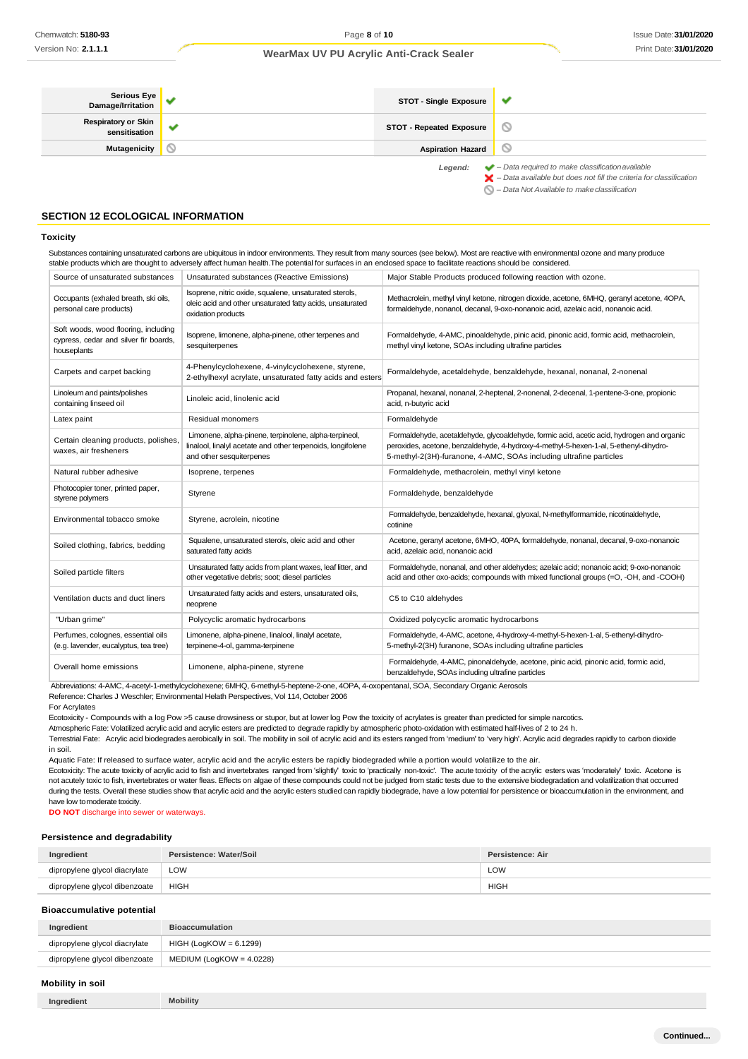| Serious Eye<br>  Damage/Irritation          | STOT - Single Exposure          | v                                                                                                                                                                  |
|---------------------------------------------|---------------------------------|--------------------------------------------------------------------------------------------------------------------------------------------------------------------|
| <b>Respiratory or Skin</b><br>sensitisation | <b>STOT - Repeated Exposure</b> | $\circ$                                                                                                                                                            |
| <b>Mutagenicity</b>                         | <b>Aspiration Hazard</b>        |                                                                                                                                                                    |
|                                             | Legend:                         | $\blacktriangleright$ - Data required to make classification available<br>$\blacktriangleright$ - Data available but does not fill the criteria for classification |

*– Data Not Available to makeclassification*

### **SECTION 12 ECOLOGICAL INFORMATION**

#### **Toxicity**

Substances containing unsaturated carbons are ubiquitous in indoor environments. They result from many sources (see below). Most are reactive with environmental ozone and many produce stable products which are thought to adversely affect human health.The potential for surfaces in an enclosed space to facilitate reactions should be considered.

| Source of unsaturated substances                                                             | Unsaturated substances (Reactive Emissions)                                                                                                      | Major Stable Products produced following reaction with ozone.                                                                                                                                                                                            |
|----------------------------------------------------------------------------------------------|--------------------------------------------------------------------------------------------------------------------------------------------------|----------------------------------------------------------------------------------------------------------------------------------------------------------------------------------------------------------------------------------------------------------|
| Occupants (exhaled breath, ski oils,<br>personal care products)                              | Isoprene, nitric oxide, squalene, unsaturated sterols,<br>oleic acid and other unsaturated fatty acids, unsaturated<br>oxidation products        | Methacrolein, methyl vinyl ketone, nitrogen dioxide, acetone, 6MHQ, geranyl acetone, 4OPA,<br>formaldehyde, nonanol, decanal, 9-oxo-nonanoic acid, azelaic acid, nonanoic acid.                                                                          |
| Soft woods, wood flooring, including<br>cypress, cedar and silver fir boards,<br>houseplants | Isoprene, limonene, alpha-pinene, other terpenes and<br>sesquiterpenes                                                                           | Formaldehyde, 4-AMC, pinoaldehyde, pinic acid, pinonic acid, formic acid, methacrolein,<br>methyl vinyl ketone, SOAs including ultrafine particles                                                                                                       |
| Carpets and carpet backing                                                                   | 4-Phenylcyclohexene, 4-vinylcyclohexene, styrene,<br>2-ethylhexyl acrylate, unsaturated fatty acids and esters                                   | Formaldehyde, acetaldehyde, benzaldehyde, hexanal, nonanal, 2-nonenal                                                                                                                                                                                    |
| Linoleum and paints/polishes<br>containing linseed oil                                       | Linoleic acid, linolenic acid                                                                                                                    | Propanal, hexanal, nonanal, 2-heptenal, 2-nonenal, 2-decenal, 1-pentene-3-one, propionic<br>acid, n-butyric acid                                                                                                                                         |
| Latex paint                                                                                  | Residual monomers                                                                                                                                | Formaldehyde                                                                                                                                                                                                                                             |
| Certain cleaning products, polishes.<br>waxes, air fresheners                                | Limonene, alpha-pinene, terpinolene, alpha-terpineol,<br>linalool, linalyl acetate and other terpenoids, longifolene<br>and other sesquiterpenes | Formaldehyde, acetaldehyde, glycoaldehyde, formic acid, acetic acid, hydrogen and organic<br>peroxides, acetone, benzaldehyde, 4-hydroxy-4-methyl-5-hexen-1-al, 5-ethenyl-dihydro-<br>5-methyl-2(3H)-furanone, 4-AMC, SOAs including ultrafine particles |
| Natural rubber adhesive                                                                      | Isoprene, terpenes                                                                                                                               | Formaldehyde, methacrolein, methyl vinyl ketone                                                                                                                                                                                                          |
| Photocopier toner, printed paper,<br>styrene polymers                                        | Styrene                                                                                                                                          | Formaldehyde, benzaldehyde                                                                                                                                                                                                                               |
| Environmental tobacco smoke                                                                  | Styrene, acrolein, nicotine                                                                                                                      | Formaldehyde, benzaldehyde, hexanal, glyoxal, N-methylformamide, nicotinaldehyde,<br>cotinine                                                                                                                                                            |
| Soiled clothing, fabrics, bedding                                                            | Squalene, unsaturated sterols, oleic acid and other<br>saturated fatty acids                                                                     | Acetone, geranyl acetone, 6MHO, 40PA, formaldehyde, nonanal, decanal, 9-oxo-nonanoic<br>acid, azelaic acid, nonanoic acid                                                                                                                                |
| Soiled particle filters                                                                      | Unsaturated fatty acids from plant waxes, leaf litter, and<br>other vegetative debris; soot; diesel particles                                    | Formaldehyde, nonanal, and other aldehydes; azelaic acid; nonanoic acid; 9-oxo-nonanoic<br>acid and other oxo-acids; compounds with mixed functional groups (=O, -OH, and -COOH)                                                                         |
| Ventilation ducts and duct liners                                                            | Unsaturated fatty acids and esters, unsaturated oils,<br>neoprene                                                                                | C5 to C10 aldehydes                                                                                                                                                                                                                                      |
| "Urban grime"                                                                                | Polycyclic aromatic hydrocarbons                                                                                                                 | Oxidized polycyclic aromatic hydrocarbons                                                                                                                                                                                                                |
| Perfumes, colognes, essential oils<br>(e.g. lavender, eucalyptus, tea tree)                  | Limonene, alpha-pinene, linalool, linalyl acetate,<br>terpinene-4-ol, gamma-terpinene                                                            | Formaldehyde, 4-AMC, acetone, 4-hydroxy-4-methyl-5-hexen-1-al, 5-ethenyl-dihydro-<br>5-methyl-2(3H) furanone, SOAs including ultrafine particles                                                                                                         |
| Overall home emissions                                                                       | Limonene, alpha-pinene, styrene                                                                                                                  | Formaldehyde, 4-AMC, pinonaldehyde, acetone, pinic acid, pinonic acid, formic acid,<br>benzaldehyde, SOAs including ultrafine particles                                                                                                                  |

Abbreviations: 4-AMC, 4-acetyl-1-methylcyclohexene; 6MHQ, 6-methyl-5-heptene-2-one, 4OPA, 4-oxopentanal, SOA, Secondary Organic Aerosols

Reference: Charles J Weschler; Environmental Helath Perspectives, Vol 114, October 2006

For Acrylates

Ecotoxicity - Compounds with a log Pow >5 cause drowsiness or stupor, but at lower log Pow the toxicity of acrylates is greater than predicted for simple narcotics.

Atmospheric Fate: Volatilized acrylic acid and acrylic esters are predicted to degrade rapidly by atmospheric photo-oxidation with estimated half-lives of 2 to 24 h.

Terrestrial Fate: Acrylic acid biodegrades aerobically in soil. The mobility in soil of acrylic acid and its esters ranged from 'medium' to 'very high'. Acrylic acid degrades rapidly to carbon dioxide in soil.

Aquatic Fate: If released to surface water, acrylic acid and the acrylic esters be rapidly biodegraded while a portion would volatilize to the air.

Ecotoxicity: The acute toxicity of acrylic acid to fish and invertebrates ranged from 'slightly' toxic to 'practically non-toxic'. The acute toxicity of the acrylic esters was 'moderately' toxic. Acetone is not acutely toxic to fish, invertebrates or water fleas. Effects on algae of these compounds could not be judged from static tests due to the extensive biodegradation and volatilization that occurred during the tests. Overall these studies show that acrylic acid and the acrylic esters studied can rapidly biodegrade, have a low potential for persistence or bioaccumulation in the environment, and have low tomoderate toxicity.

**DO NOT** discharge into sewer or waterways.

### **Persistence and degradability**

| Ingredient                    | Persistence: Water/Soil | Persistence: Air |
|-------------------------------|-------------------------|------------------|
| dipropylene glycol diacrylate | LOW                     | LOW              |
| dipropylene glycol dibenzoate | HIGH                    | <b>HIGH</b>      |

#### **Bioaccumulative potential**

| Ingredient                    | <b>Bioaccumulation</b>      |
|-------------------------------|-----------------------------|
| dipropylene glycol diacrylate | HIGH (LogKOW = 6.1299)      |
| dipropylene glycol dibenzoate | MEDIUM (LogKOW = $4.0228$ ) |

# **Mobility in soil**

| $\sim$<br>Ingredient | <b>Mobility</b> |
|----------------------|-----------------|
|----------------------|-----------------|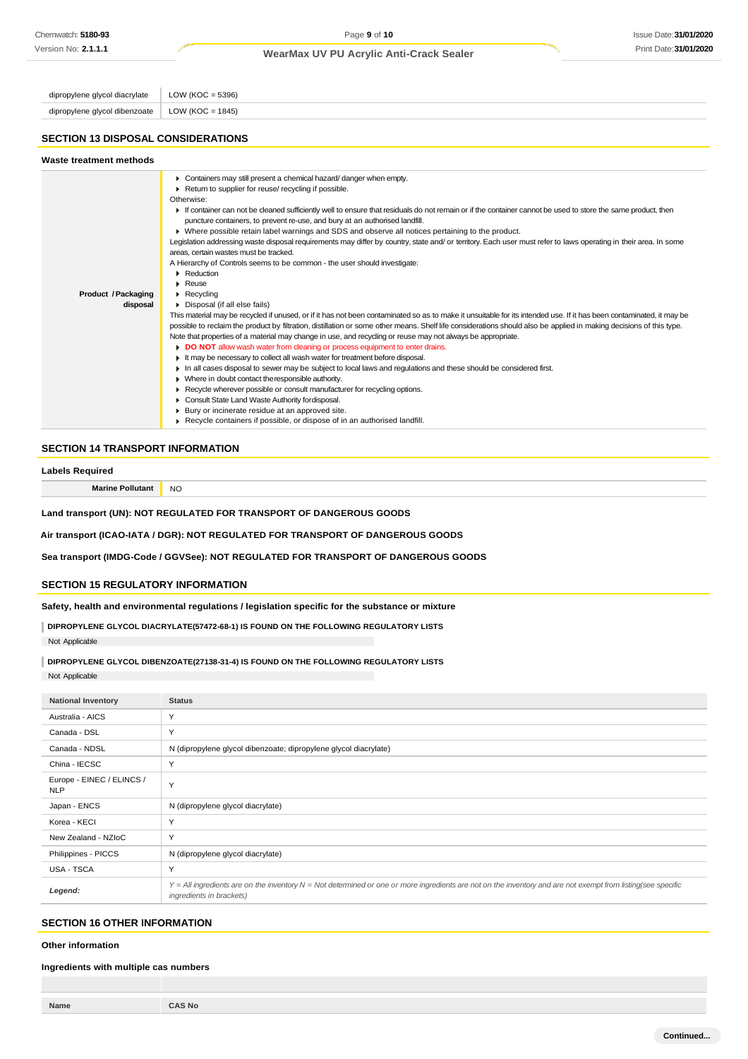# Issue Date:**31/01/2020** Print Date:**31/01/2020**

# **WearMax UV PU Acrylic Anti-Crack Sealer**

dipropylene glycol diacrylate  $\vert$  LOW (KOC = 5396) dipropylene glycol dibenzoate | LOW (KOC = 1845)

# **SECTION 13 DISPOSAL CONSIDERATIONS**

| Containers may still present a chemical hazard/danger when empty.<br>Return to supplier for reuse/ recycling if possible.                                                                                                                                                                                                                                                                                                                                                                                                                                                                                                                                                                                                                                                                                                                                                                                                                                                                                                                                                                                                                                                                                                                                                                                                                                                                                                                                                                                          | Waste treatment methods |                                                                                                                                                                                                                                                                                                                                                        |
|--------------------------------------------------------------------------------------------------------------------------------------------------------------------------------------------------------------------------------------------------------------------------------------------------------------------------------------------------------------------------------------------------------------------------------------------------------------------------------------------------------------------------------------------------------------------------------------------------------------------------------------------------------------------------------------------------------------------------------------------------------------------------------------------------------------------------------------------------------------------------------------------------------------------------------------------------------------------------------------------------------------------------------------------------------------------------------------------------------------------------------------------------------------------------------------------------------------------------------------------------------------------------------------------------------------------------------------------------------------------------------------------------------------------------------------------------------------------------------------------------------------------|-------------------------|--------------------------------------------------------------------------------------------------------------------------------------------------------------------------------------------------------------------------------------------------------------------------------------------------------------------------------------------------------|
| If container can not be cleaned sufficiently well to ensure that residuals do not remain or if the container cannot be used to store the same product, then<br>puncture containers, to prevent re-use, and bury at an authorised landfill.<br>▶ Where possible retain label warnings and SDS and observe all notices pertaining to the product.<br>areas, certain wastes must be tracked.<br>A Hierarchy of Controls seems to be common - the user should investigate:<br>Reduction<br>$\blacktriangleright$ Reuse<br>Product / Packaging<br>$\triangleright$ Recycling<br>disposal<br>Disposal (if all else fails)<br>possible to reclaim the product by filtration, distillation or some other means. Shelf life considerations should also be applied in making decisions of this type.<br>Note that properties of a material may change in use, and recycling or reuse may not always be appropriate.<br>DO NOT allow wash water from cleaning or process equipment to enter drains.<br>It may be necessary to collect all wash water for treatment before disposal.<br>In all cases disposal to sewer may be subject to local laws and regulations and these should be considered first.<br>Where in doubt contact the responsible authority.<br>Recycle wherever possible or consult manufacturer for recycling options.<br>Consult State Land Waste Authority fordisposal.<br>▶ Bury or incinerate residue at an approved site.<br>Recycle containers if possible, or dispose of in an authorised landfill. |                         | Otherwise:<br>Legislation addressing waste disposal requirements may differ by country, state and/ or territory. Each user must refer to laws operating in their area. In some<br>This material may be recycled if unused, or if it has not been contaminated so as to make it unsuitable for its intended use. If it has been contaminated, it may be |

### **SECTION 14 TRANSPORT INFORMATION**

#### **Labels Required**

**Marine Pollutant** NO

**Land transport (UN): NOT REGULATED FOR TRANSPORT OF DANGEROUS GOODS**

**Air transport (ICAO-IATA / DGR): NOT REGULATED FOR TRANSPORT OF DANGEROUS GOODS**

**Sea transport (IMDG-Code / GGVSee): NOT REGULATED FOR TRANSPORT OF DANGEROUS GOODS**

# **SECTION 15 REGULATORY INFORMATION**

**Safety, health and environmental regulations / legislation specific for the substance or mixture**

**DIPROPYLENE GLYCOL DIACRYLATE(57472-68-1) IS FOUND ON THE FOLLOWING REGULATORY LISTS** Not Applicable

**DIPROPYLENE GLYCOL DIBENZOATE(27138-31-4) IS FOUND ON THE FOLLOWING REGULATORY LISTS**

Not Applicable

| <b>National Inventory</b>               | <b>Status</b>                                                                                                                                                                            |
|-----------------------------------------|------------------------------------------------------------------------------------------------------------------------------------------------------------------------------------------|
| Australia - AICS                        | Y                                                                                                                                                                                        |
| Canada - DSL                            | Y                                                                                                                                                                                        |
| Canada - NDSL                           | N (dipropylene glycol dibenzoate; dipropylene glycol diacrylate)                                                                                                                         |
| China - IECSC                           | Y                                                                                                                                                                                        |
| Europe - EINEC / ELINCS /<br><b>NLP</b> | Y                                                                                                                                                                                        |
| Japan - ENCS                            | N (dipropylene glycol diacrylate)                                                                                                                                                        |
| Korea - KECI                            | Y                                                                                                                                                                                        |
| New Zealand - NZIoC                     | Y                                                                                                                                                                                        |
| Philippines - PICCS                     | N (dipropylene glycol diacrylate)                                                                                                                                                        |
| USA - TSCA                              | Y                                                                                                                                                                                        |
| Legend:                                 | Y = All ingredients are on the inventory N = Not determined or one or more ingredients are not on the inventory and are not exempt from listing(see specific<br>ingredients in brackets) |

# **SECTION 16 OTHER INFORMATION**

**Other information**

#### **Ingredients with multiple cas numbers**

| Name | <b>CAS No</b> |
|------|---------------|